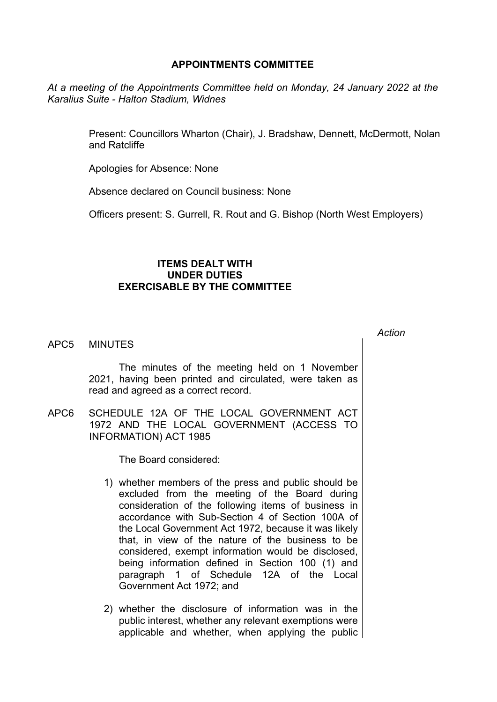## **APPOINTMENTS COMMITTEE**

*At a meeting of the Appointments Committee held on Monday, 24 January 2022 at the Karalius Suite - Halton Stadium, Widnes*

> Present: Councillors Wharton (Chair), J. Bradshaw, Dennett, McDermott, Nolan and Ratcliffe

Apologies for Absence: None

Absence declared on Council business: None

Officers present: S. Gurrell, R. Rout and G. Bishop (North West Employers)

## **ITEMS DEALT WITH UNDER DUTIES EXERCISABLE BY THE COMMITTEE**

APC5 MINUTES

The minutes of the meeting held on 1 November 2021, having been printed and circulated, were taken as read and agreed as a correct record.

APC6 SCHEDULE 12A OF THE LOCAL GOVERNMENT ACT 1972 AND THE LOCAL GOVERNMENT (ACCESS TO INFORMATION) ACT 1985

The Board considered:

- 1) whether members of the press and public should be excluded from the meeting of the Board during consideration of the following items of business in accordance with Sub-Section 4 of Section 100A of the Local Government Act 1972, because it was likely that, in view of the nature of the business to be considered, exempt information would be disclosed, being information defined in Section 100 (1) and paragraph 1 of Schedule 12A of the Local Government Act 1972; and
- 2) whether the disclosure of information was in the public interest, whether any relevant exemptions were applicable and whether, when applying the public

*Action*